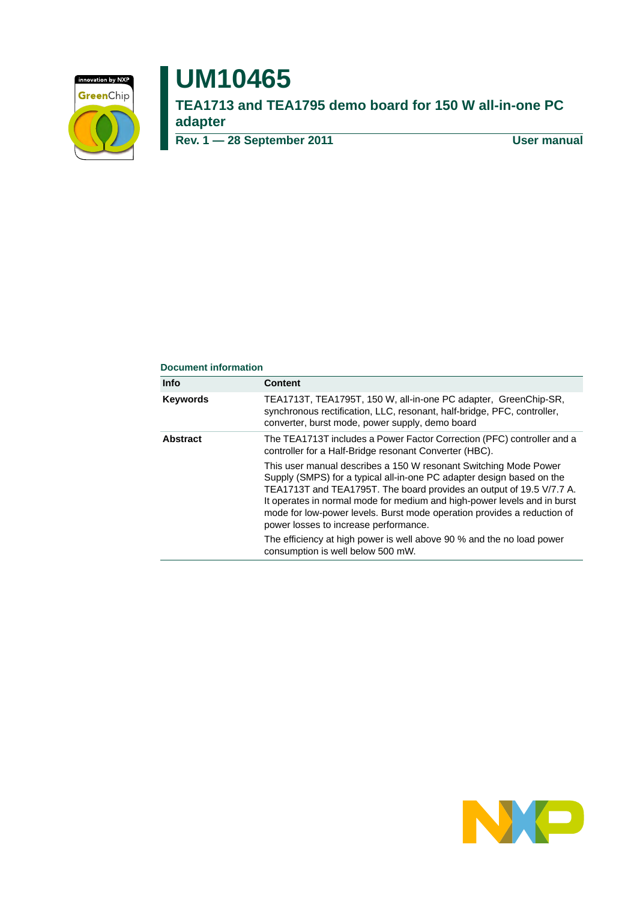

# **UM10465**

**TEA1713 and TEA1795 demo board for 150 W all-in-one PC adapter**

**Rev. 1 — 28 September 2011 User manual**

#### **Document information**

| <b>Info</b>                                                                                                                                                                                                      | <b>Content</b>                                                                                                                                                                                                                                                                                                                                                                                                    |  |  |  |  |
|------------------------------------------------------------------------------------------------------------------------------------------------------------------------------------------------------------------|-------------------------------------------------------------------------------------------------------------------------------------------------------------------------------------------------------------------------------------------------------------------------------------------------------------------------------------------------------------------------------------------------------------------|--|--|--|--|
| TEA1713T, TEA1795T, 150 W, all-in-one PC adapter, GreenChip-SR,<br><b>Keywords</b><br>synchronous rectification, LLC, resonant, half-bridge, PFC, controller,<br>converter, burst mode, power supply, demo board |                                                                                                                                                                                                                                                                                                                                                                                                                   |  |  |  |  |
| <b>Abstract</b>                                                                                                                                                                                                  | The TEA1713T includes a Power Factor Correction (PFC) controller and a<br>controller for a Half-Bridge resonant Converter (HBC).                                                                                                                                                                                                                                                                                  |  |  |  |  |
|                                                                                                                                                                                                                  | This user manual describes a 150 W resonant Switching Mode Power<br>Supply (SMPS) for a typical all-in-one PC adapter design based on the<br>TEA1713T and TEA1795T. The board provides an output of 19.5 V/7.7 A.<br>It operates in normal mode for medium and high-power levels and in burst<br>mode for low-power levels. Burst mode operation provides a reduction of<br>power losses to increase performance. |  |  |  |  |
|                                                                                                                                                                                                                  | The efficiency at high power is well above 90 % and the no load power<br>consumption is well below 500 mW.                                                                                                                                                                                                                                                                                                        |  |  |  |  |

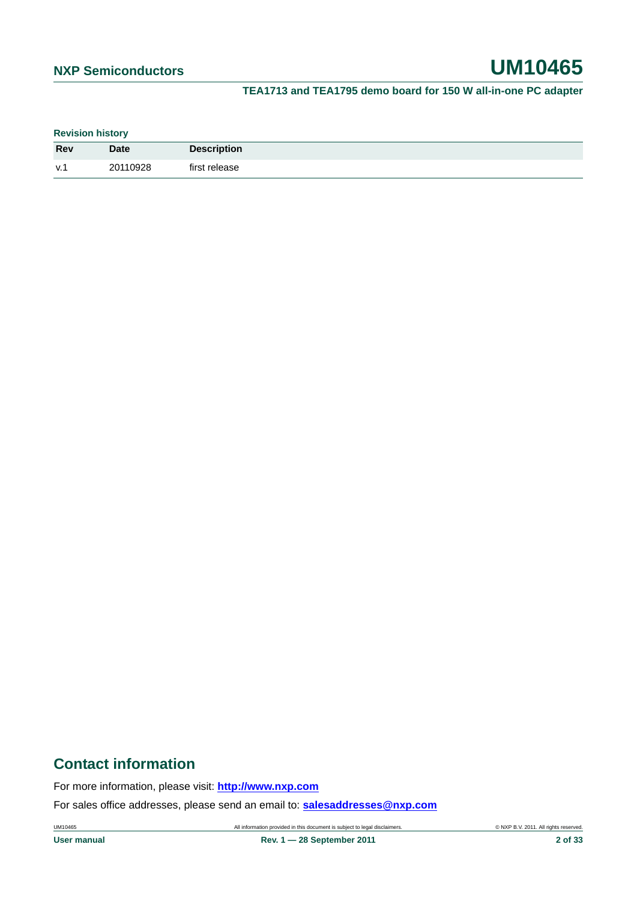**Revision history**

| <b>Rev</b> | <b>Date</b> | <b>Description</b> |
|------------|-------------|--------------------|
| v.1        | 20110928    | first release      |

#### **Contact information**

For more information, please visit: **http://www.nxp.com**

For sales office addresses, please send an email to: **salesaddresses@nxp.com**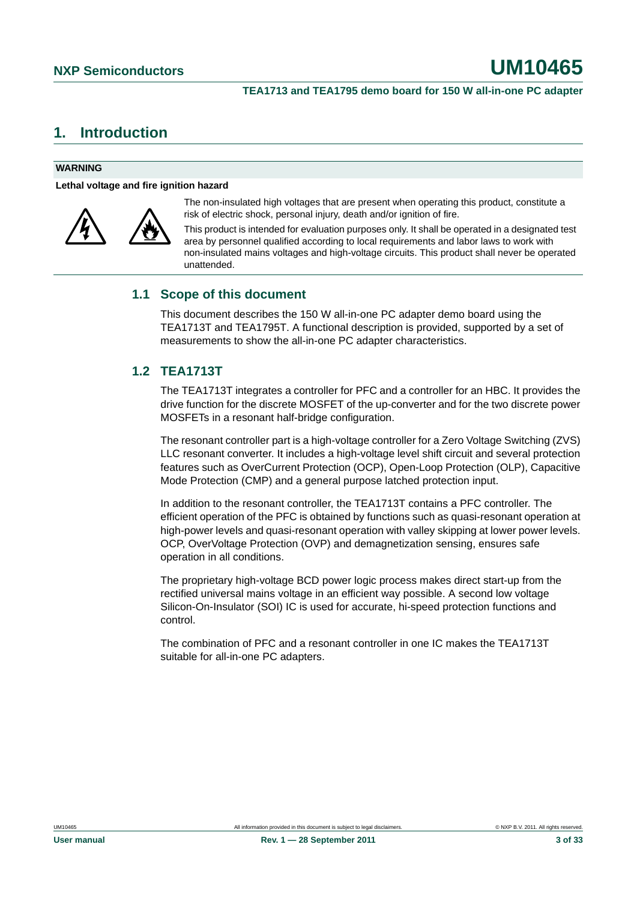#### <span id="page-2-0"></span>**1. Introduction**

#### **WARNING**

**Lethal voltage and fire ignition hazard**



The non-insulated high voltages that are present when operating this product, constitute a risk of electric shock, personal injury, death and/or ignition of fire.

This product is intended for evaluation purposes only. It shall be operated in a designated test area by personnel qualified according to local requirements and labor laws to work with non-insulated mains voltages and high-voltage circuits. This product shall never be operated unattended.

#### <span id="page-2-1"></span>**1.1 Scope of this document**

This document describes the 150 W all-in-one PC adapter demo board using the TEA1713T and TEA1795T. A functional description is provided, supported by a set of measurements to show the all-in-one PC adapter characteristics.

#### <span id="page-2-2"></span>**1.2 TEA1713T**

The TEA1713T integrates a controller for PFC and a controller for an HBC. It provides the drive function for the discrete MOSFET of the up-converter and for the two discrete power MOSFETs in a resonant half-bridge configuration.

The resonant controller part is a high-voltage controller for a Zero Voltage Switching (ZVS) LLC resonant converter. It includes a high-voltage level shift circuit and several protection features such as OverCurrent Protection (OCP), Open-Loop Protection (OLP), Capacitive Mode Protection (CMP) and a general purpose latched protection input.

In addition to the resonant controller, the TEA1713T contains a PFC controller. The efficient operation of the PFC is obtained by functions such as quasi-resonant operation at high-power levels and quasi-resonant operation with valley skipping at lower power levels. OCP, OverVoltage Protection (OVP) and demagnetization sensing, ensures safe operation in all conditions.

The proprietary high-voltage BCD power logic process makes direct start-up from the rectified universal mains voltage in an efficient way possible. A second low voltage Silicon-On-Insulator (SOI) IC is used for accurate, hi-speed protection functions and control.

The combination of PFC and a resonant controller in one IC makes the TEA1713T suitable for all-in-one PC adapters.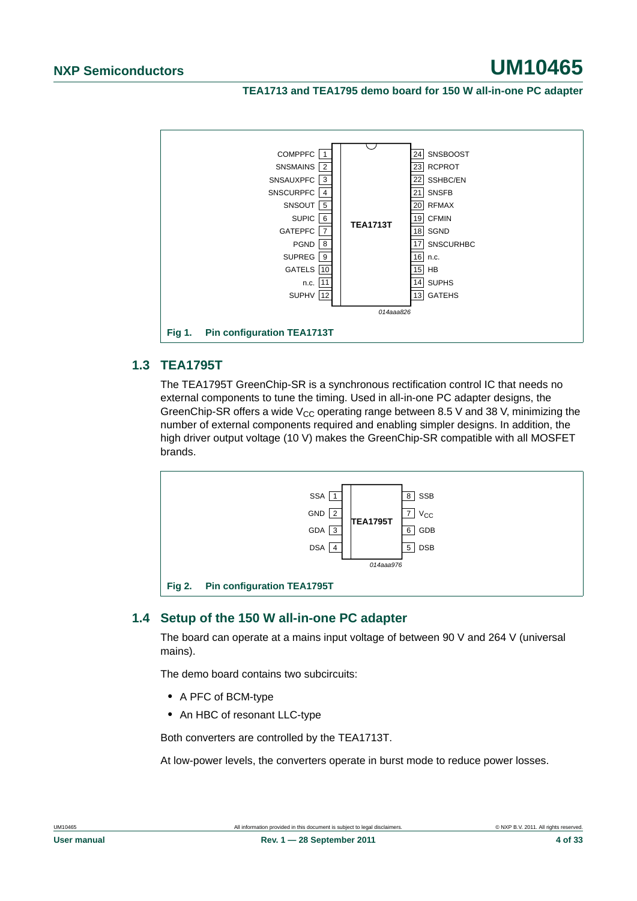**TEA1713 and TEA1795 demo board for 150 W all-in-one PC adapter**



#### <span id="page-3-0"></span>**1.3 TEA1795T**

The TEA1795T GreenChip-SR is a synchronous rectification control IC that needs no external components to tune the timing. Used in all-in-one PC adapter designs, the GreenChip-SR offers a wide  $V_{CC}$  operating range between 8.5 V and 38 V, minimizing the number of external components required and enabling simpler designs. In addition, the high driver output voltage (10 V) makes the GreenChip-SR compatible with all MOSFET brands.



#### <span id="page-3-1"></span>**1.4 Setup of the 150 W all-in-one PC adapter**

The board can operate at a mains input voltage of between 90 V and 264 V (universal mains).

The demo board contains two subcircuits:

- **•** A PFC of BCM-type
- **•** An HBC of resonant LLC-type

Both converters are controlled by the TEA1713T.

At low-power levels, the converters operate in burst mode to reduce power losses.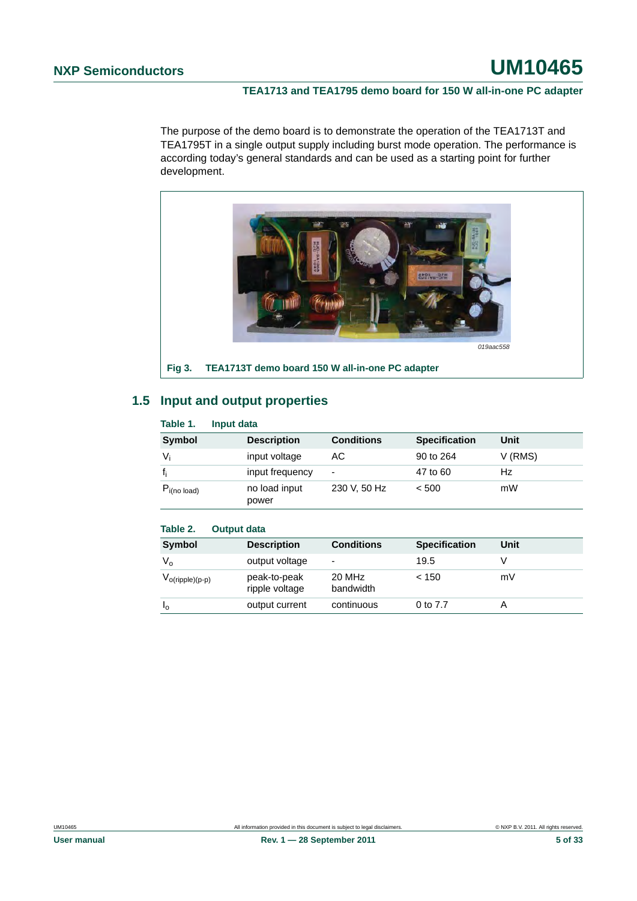The purpose of the demo board is to demonstrate the operation of the TEA1713T and TEA1795T in a single output supply including burst mode operation. The performance is according today's general standards and can be used as a starting point for further development.



**Fig 3. TEA1713T demo board 150 W all-in-one PC adapter**

#### <span id="page-4-0"></span>**1.5 Input and output properties**

#### **Table 1. Input data**

| <b>Symbol</b>     | <b>Description</b>     | <b>Conditions</b>        | <b>Specification</b> | Unit    |
|-------------------|------------------------|--------------------------|----------------------|---------|
| $V_i$             | input voltage          | AC.                      | 90 to 264            | V (RMS) |
| $f_i$             | input frequency        | $\overline{\phantom{0}}$ | 47 to 60             | Hz      |
| $P_{i(no\ load)}$ | no load input<br>power | 230 V, 50 Hz             | < 500                | mW      |

#### **Table 2. Output data**

| <b>Symbol</b>        | <b>Description</b>             | <b>Conditions</b>   | <b>Specification</b> | Unit |
|----------------------|--------------------------------|---------------------|----------------------|------|
| $V_{o}$              | output voltage                 | ٠                   | 19.5                 |      |
| $V_{o(ripple)(p-p)}$ | peak-to-peak<br>ripple voltage | 20 MHz<br>bandwidth | < 150                | mV   |
| $I_{\Omega}$         | output current                 | continuous          | 0 to 7.7             |      |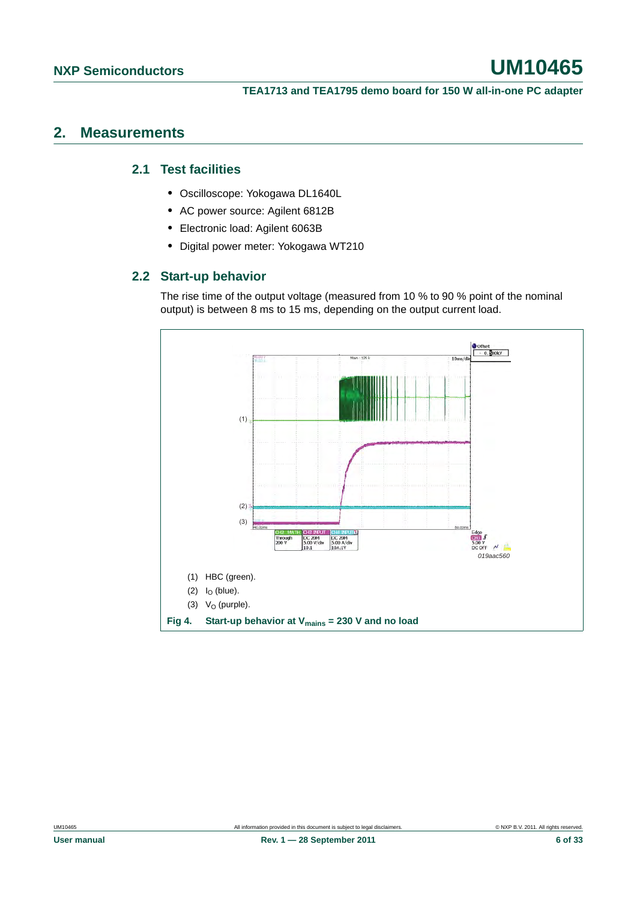#### <span id="page-5-1"></span><span id="page-5-0"></span>**2. Measurements**

#### **2.1 Test facilities**

- **•** Oscilloscope: Yokogawa DL1640L
- **•** AC power source: Agilent 6812B
- **•** Electronic load: Agilent 6063B
- **•** Digital power meter: Yokogawa WT210

#### <span id="page-5-2"></span>**2.2 Start-up behavior**

The rise time of the output voltage (measured from 10 % to 90 % point of the nominal output) is between 8 ms to 15 ms, depending on the output current load.

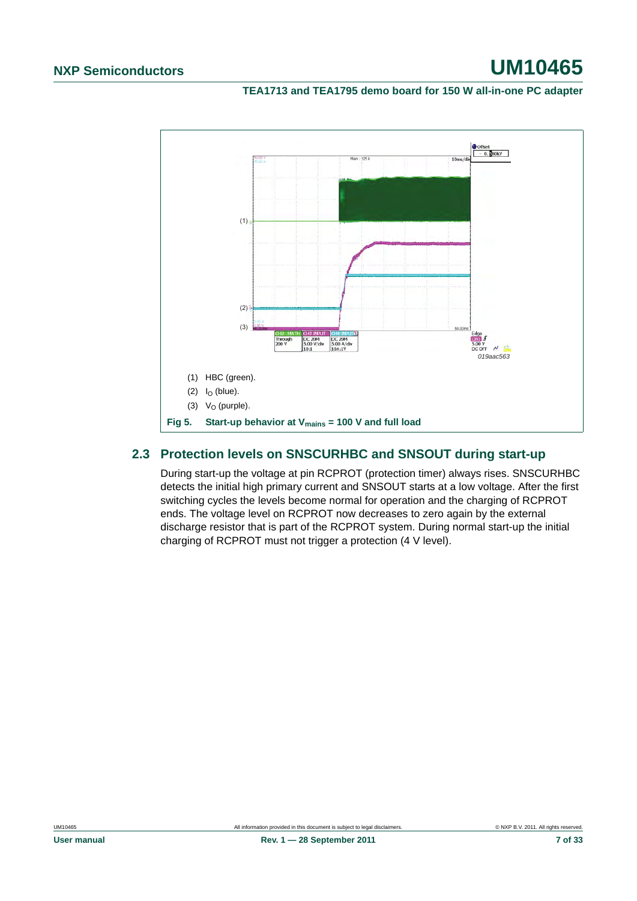**TEA1713 and TEA1795 demo board for 150 W all-in-one PC adapter**



#### <span id="page-6-0"></span>**2.3 Protection levels on SNSCURHBC and SNSOUT during start-up**

During start-up the voltage at pin RCPROT (protection timer) always rises. SNSCURHBC detects the initial high primary current and SNSOUT starts at a low voltage. After the first switching cycles the levels become normal for operation and the charging of RCPROT ends. The voltage level on RCPROT now decreases to zero again by the external discharge resistor that is part of the RCPROT system. During normal start-up the initial charging of RCPROT must not trigger a protection (4 V level).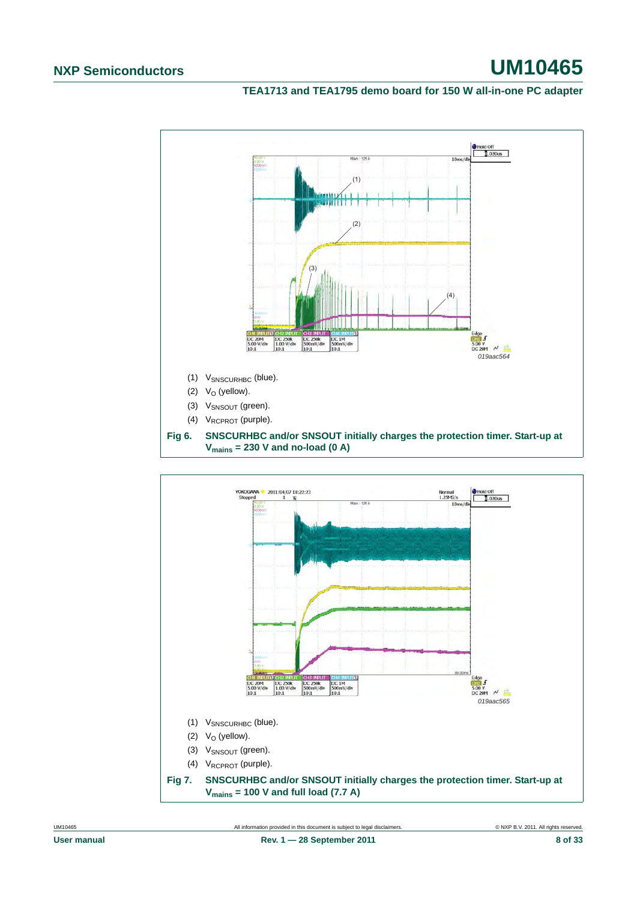**TEA1713 and TEA1795 demo board for 150 W all-in-one PC adapter**



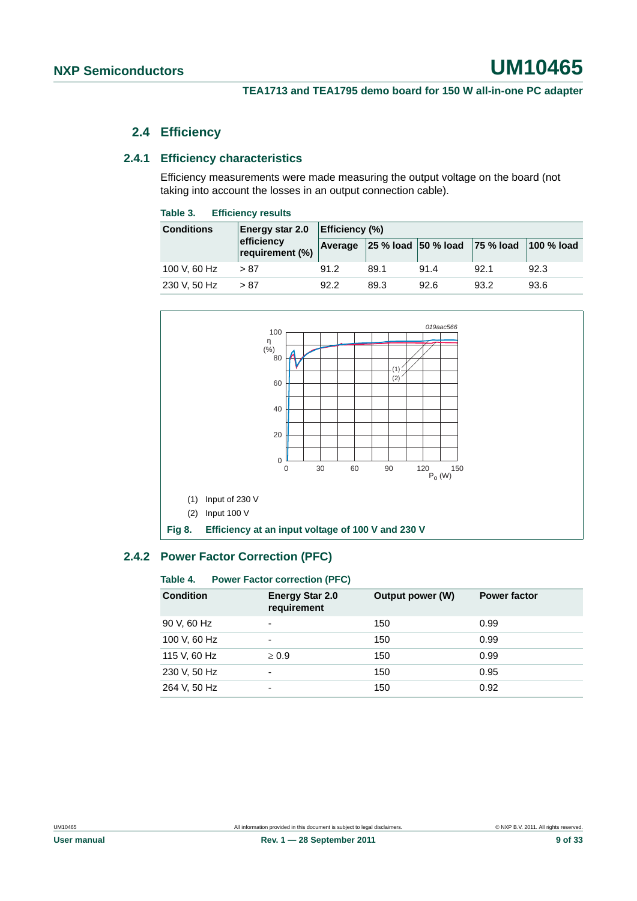#### **2.4 Efficiency**

#### <span id="page-8-1"></span><span id="page-8-0"></span>**2.4.1 Efficiency characteristics**

Efficiency measurements were made measuring the output voltage on the board (not taking into account the losses in an output connection cable).

| <b>Efficiency results</b><br>Table 3. |
|---------------------------------------|
|---------------------------------------|

| <b>Conditions</b> | Energy star 2.0<br>efficiency<br>requirement (%) | <b>Efficiency (%)</b> |      |                                           |      |             |
|-------------------|--------------------------------------------------|-----------------------|------|-------------------------------------------|------|-------------|
|                   |                                                  | Average               |      | $ 25 \%$ load $ 50 \%$ load $ 75 \%$ load |      | $100%$ load |
| 100 V, 60 Hz      | > 87                                             | 91.2                  | 89.1 | 91.4                                      | 92.1 | 92.3        |
| 230 V, 50 Hz      | > 87                                             | 92.2                  | 89.3 | 92.6                                      | 93.2 | 93.6        |



#### <span id="page-8-2"></span>**2.4.2 Power Factor Correction (PFC)**

#### **Table 4. Power Factor correction (PFC)**

| <b>Condition</b> | <b>Energy Star 2.0</b><br>requirement | Output power (W) | <b>Power factor</b> |
|------------------|---------------------------------------|------------------|---------------------|
| 90 V, 60 Hz      | $\overline{\phantom{0}}$              | 150              | 0.99                |
| 100 V, 60 Hz     | $\overline{\phantom{0}}$              | 150              | 0.99                |
| 115 V, 60 Hz     | $\geq 0.9$                            | 150              | 0.99                |
| 230 V, 50 Hz     | $\overline{\phantom{0}}$              | 150              | 0.95                |
| 264 V, 50 Hz     | $\overline{\phantom{0}}$              | 150              | 0.92                |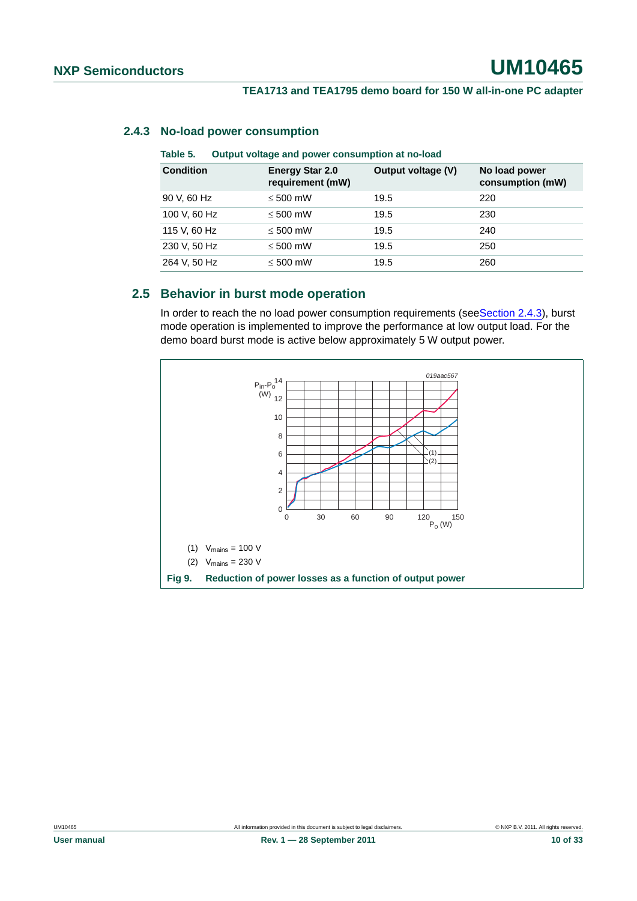#### <span id="page-9-0"></span>**2.4.3 No-load power consumption**

#### **Table 5. Output voltage and power consumption at no-load**

| <b>Condition</b> | <b>Energy Star 2.0</b><br>requirement (mW) | Output voltage (V) | No load power<br>consumption (mW) |
|------------------|--------------------------------------------|--------------------|-----------------------------------|
| 90 V, 60 Hz      | $\leq 500$ mW                              | 19.5               | 220                               |
| 100 V, 60 Hz     | $\leq 500$ mW                              | 19.5               | 230                               |
| 115 V, 60 Hz     | $\leq 500$ mW                              | 19.5               | 240                               |
| 230 V, 50 Hz     | $\leq 500$ mW                              | 19.5               | 250                               |
| 264 V, 50 Hz     | $\leq 500$ mW                              | 19.5               | 260                               |

#### <span id="page-9-1"></span>**2.5 Behavior in burst mode operation**

In order to reach the no load power consumption requirements (se[eSection](#page-9-0) 2.4.3), burst mode operation is implemented to improve the performance at low output load. For the demo board burst mode is active below approximately 5 W output power.

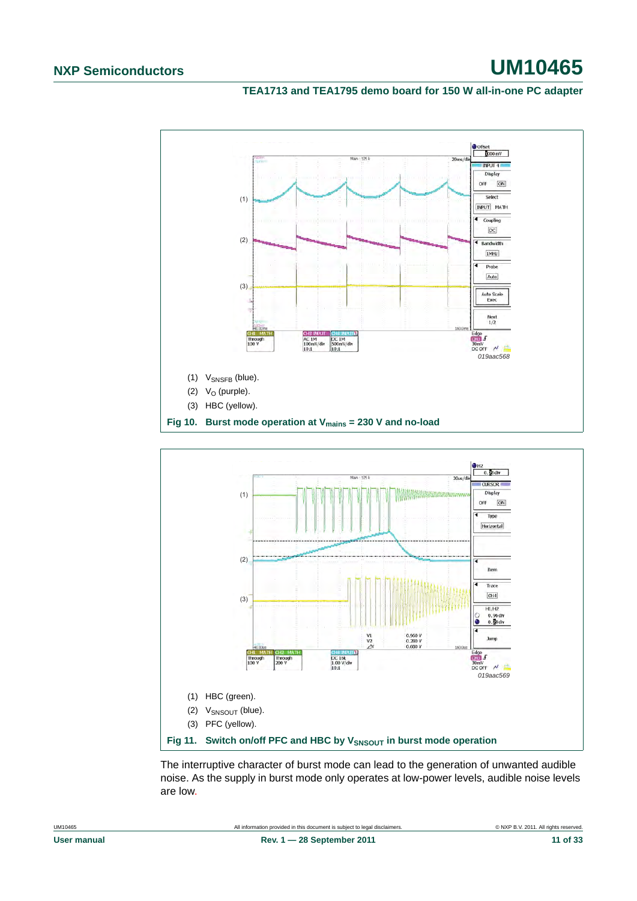#### **TEA1713 and TEA1795 demo board for 150 W all-in-one PC adapter**





The interruptive character of burst mode can lead to the generation of unwanted audible noise. As the supply in burst mode only operates at low-power levels, audible noise levels are low.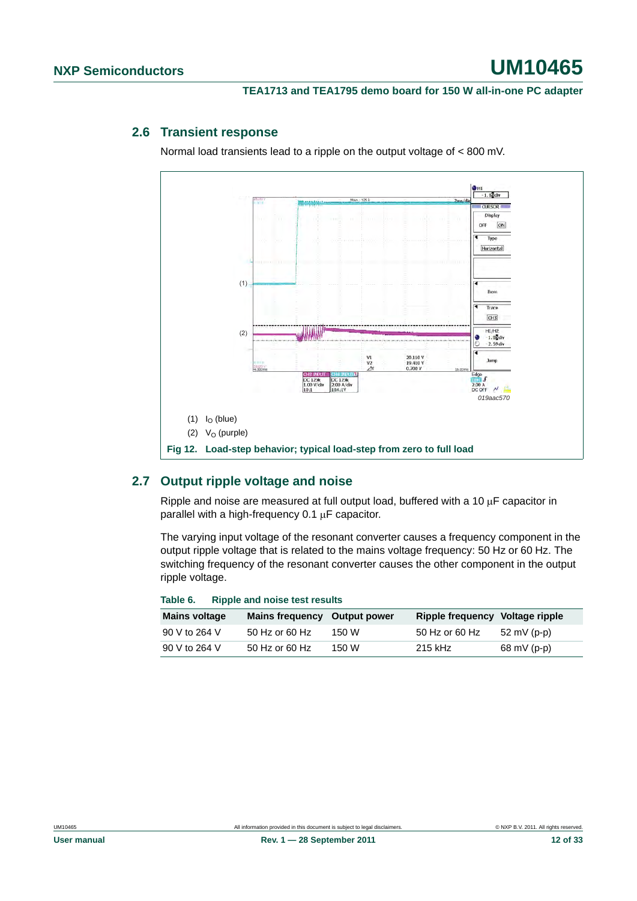#### <span id="page-11-0"></span>**2.6 Transient response**

Normal load transients lead to a ripple on the output voltage of < 800 mV.



#### <span id="page-11-1"></span>**2.7 Output ripple voltage and noise**

**Table 6. Ripple and noise test results**

Ripple and noise are measured at full output load, buffered with a 10  $\mu$ F capacitor in parallel with a high-frequency  $0.1 \mu F$  capacitor.

The varying input voltage of the resonant converter causes a frequency component in the output ripple voltage that is related to the mains voltage frequency: 50 Hz or 60 Hz. The switching frequency of the resonant converter causes the other component in the output ripple voltage.

| Table 6.<br><b>Ripple and noise test results</b> |                              |       |                                 |             |  |  |
|--------------------------------------------------|------------------------------|-------|---------------------------------|-------------|--|--|
| <b>Mains voltage</b>                             | Mains frequency Output power |       | Ripple frequency Voltage ripple |             |  |  |
| 90 V to 264 V                                    | 50 Hz or 60 Hz               | 150 W | 50 Hz or 60 Hz                  | 52 mV (p-p) |  |  |
| 90 V to 264 V                                    | 50 Hz or 60 Hz               | 150 W | 215 kHz                         | 68 mV (p-p) |  |  |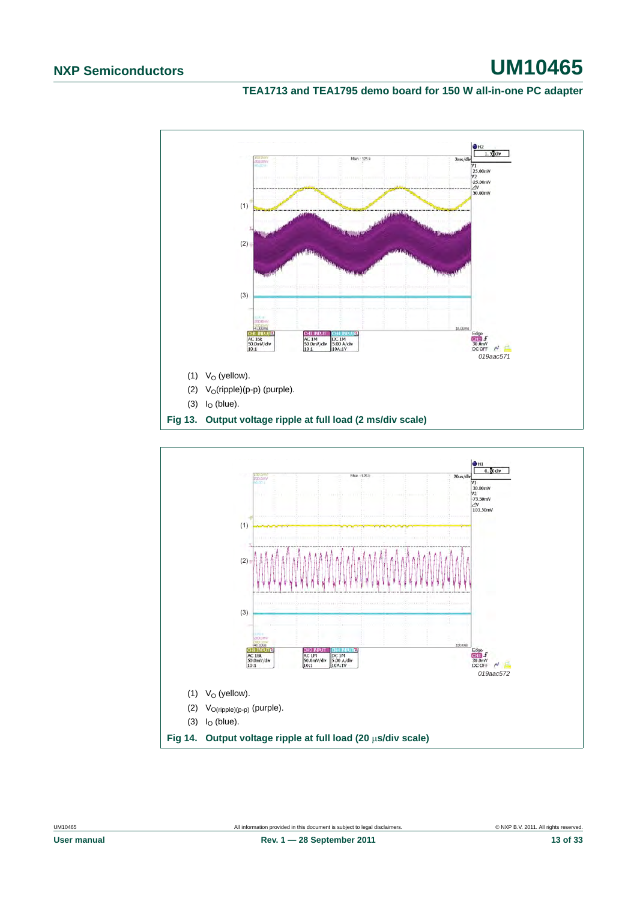#### **TEA1713 and TEA1795 demo board for 150 W all-in-one PC adapter**



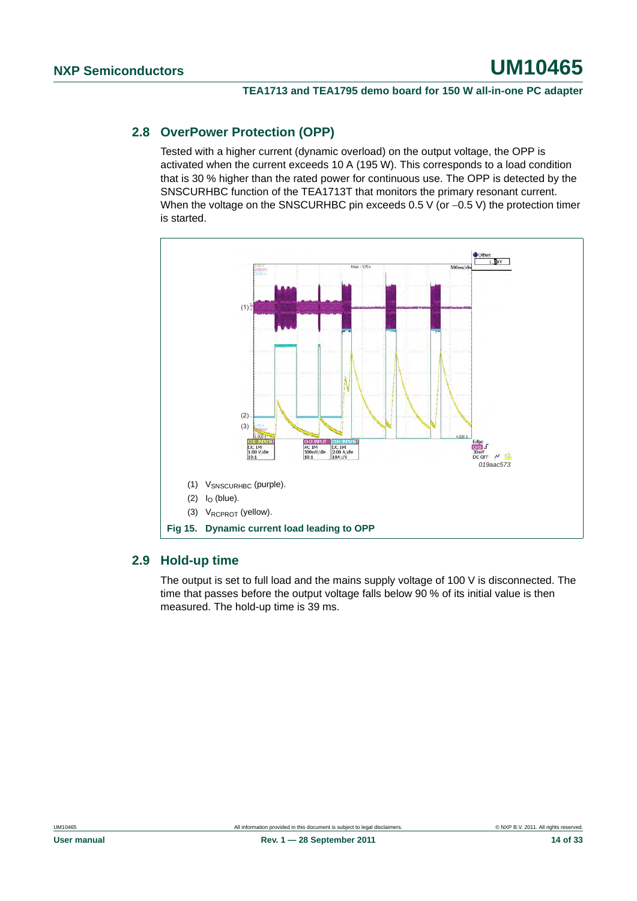#### <span id="page-13-0"></span>**2.8 OverPower Protection (OPP)**

Tested with a higher current (dynamic overload) on the output voltage, the OPP is activated when the current exceeds 10 A (195 W). This corresponds to a load condition that is 30 % higher than the rated power for continuous use. The OPP is detected by the SNSCURHBC function of the TEA1713T that monitors the primary resonant current. When the voltage on the SNSCURHBC pin exceeds  $0.5$  V (or  $-0.5$  V) the protection timer is started.



#### <span id="page-13-1"></span>**2.9 Hold-up time**

The output is set to full load and the mains supply voltage of 100 V is disconnected. The time that passes before the output voltage falls below 90 % of its initial value is then measured. The hold-up time is 39 ms.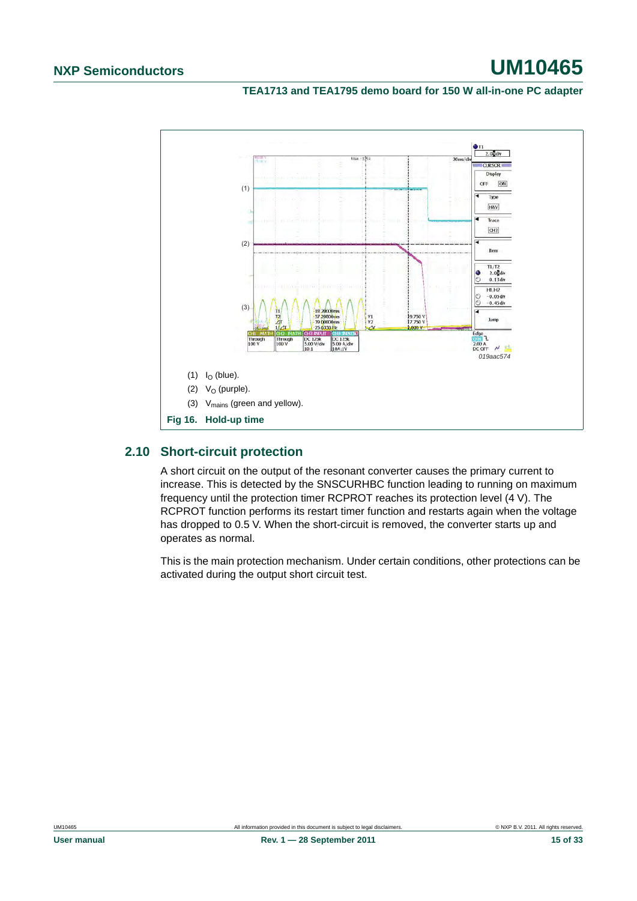**TEA1713 and TEA1795 demo board for 150 W all-in-one PC adapter**



#### <span id="page-14-0"></span>**2.10 Short-circuit protection**

A short circuit on the output of the resonant converter causes the primary current to increase. This is detected by the SNSCURHBC function leading to running on maximum frequency until the protection timer RCPROT reaches its protection level (4 V). The RCPROT function performs its restart timer function and restarts again when the voltage has dropped to 0.5 V. When the short-circuit is removed, the converter starts up and operates as normal.

This is the main protection mechanism. Under certain conditions, other protections can be activated during the output short circuit test.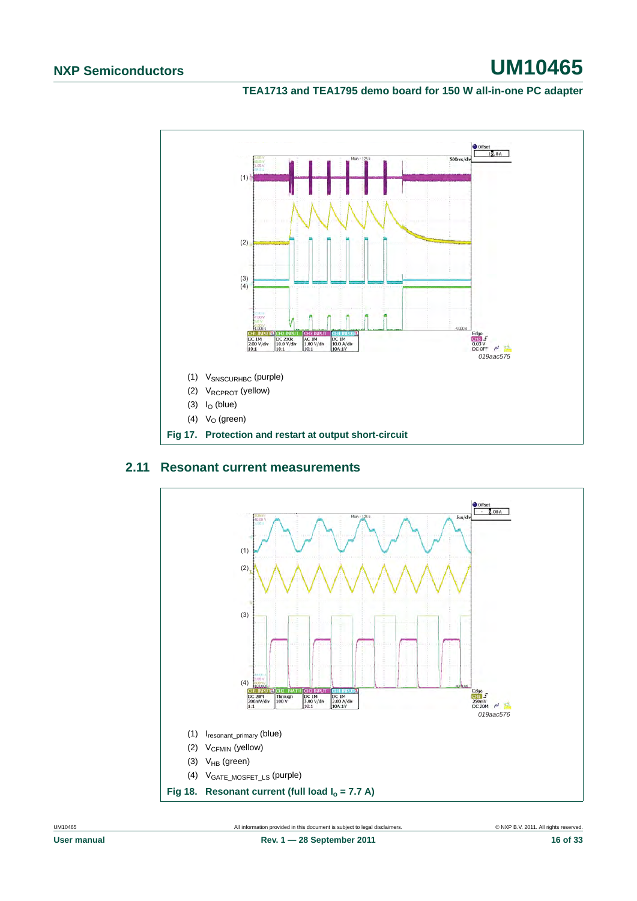**TEA1713 and TEA1795 demo board for 150 W all-in-one PC adapter**



#### <span id="page-15-0"></span>**2.11 Resonant current measurements**



UM10465 All information provided in this document is subject to legal disclaimers. © NXP B.V. 2011. All rights reserved.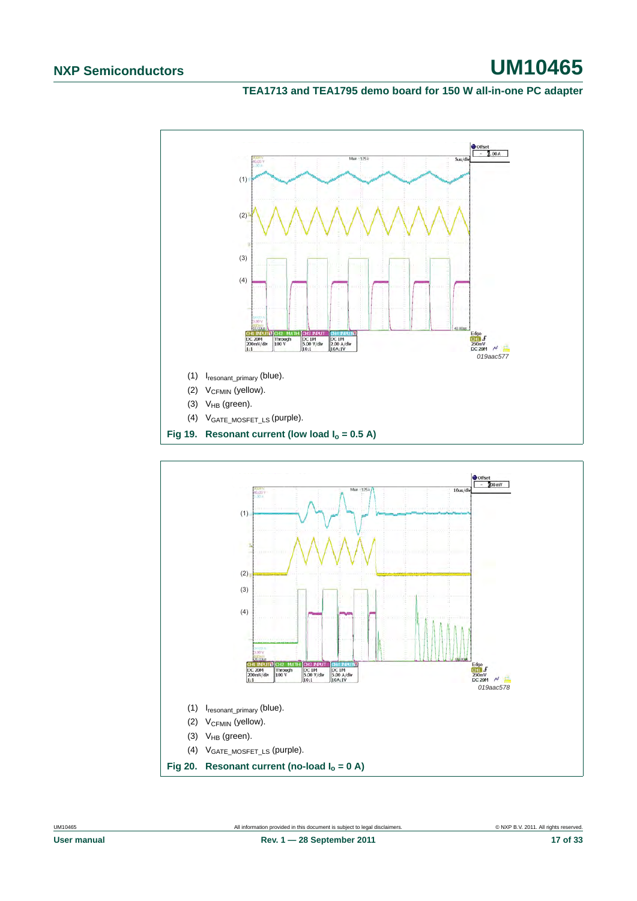**TEA1713 and TEA1795 demo board for 150 W all-in-one PC adapter**



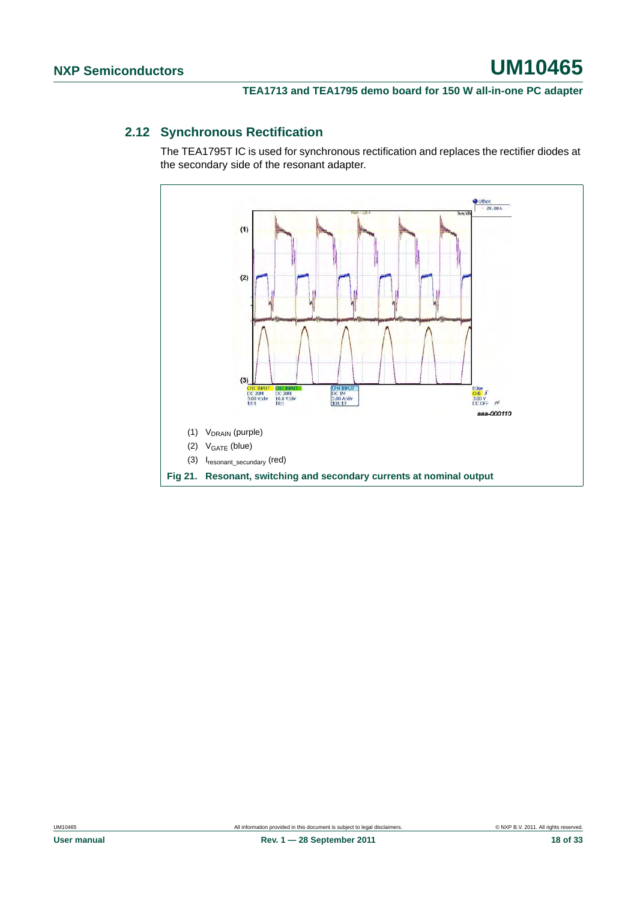#### <span id="page-17-0"></span>**2.12 Synchronous Rectification**

The TEA1795T IC is used for synchronous rectification and replaces the rectifier diodes at the secondary side of the resonant adapter.

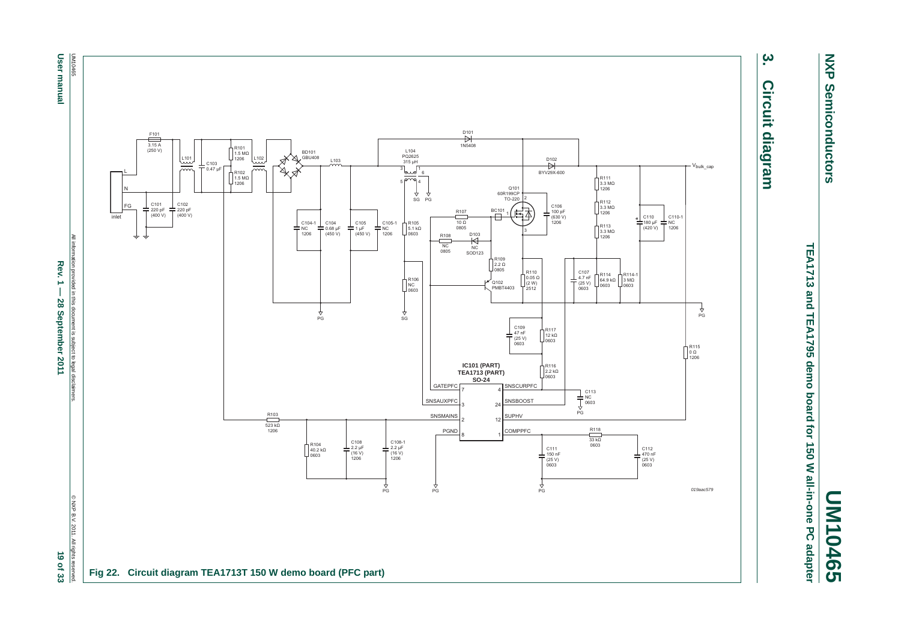**NXP Semiconductors NXP Semiconductors**

**UM10465**

# TEA1713 and TEA1795 demo board for 150 W all-in-one PC adapter **TEA1713 and TEA1795 demo board for 150 W all-in-one PC adapter**

# ယ္ပ **3. Circuit diagram Circuit diagram**

<span id="page-18-0"></span>

**User manual User manual**

> All information provided in this document is subject to legal disclaimers. All intorn ation provided in this document is subject to legal disclaimers Rev.  $1 -$ **Rev. 1 — 28 September 2011 19 of 33 28 September 2011**

All rights res 19 of 33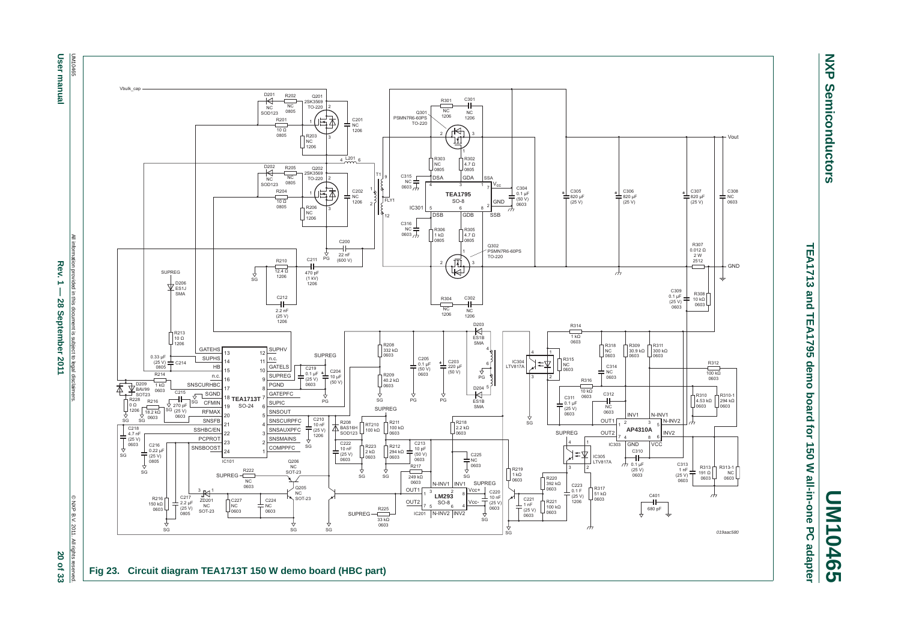**User manual User manual**

Rev. **Rev. 1 — 28 September 2011 20 of 33** non prov  $\frac{1}{1}$ **28 September 2011** 

20 of 33



**NXP NXP Semiconductors Semiconductors** 

**UM10465**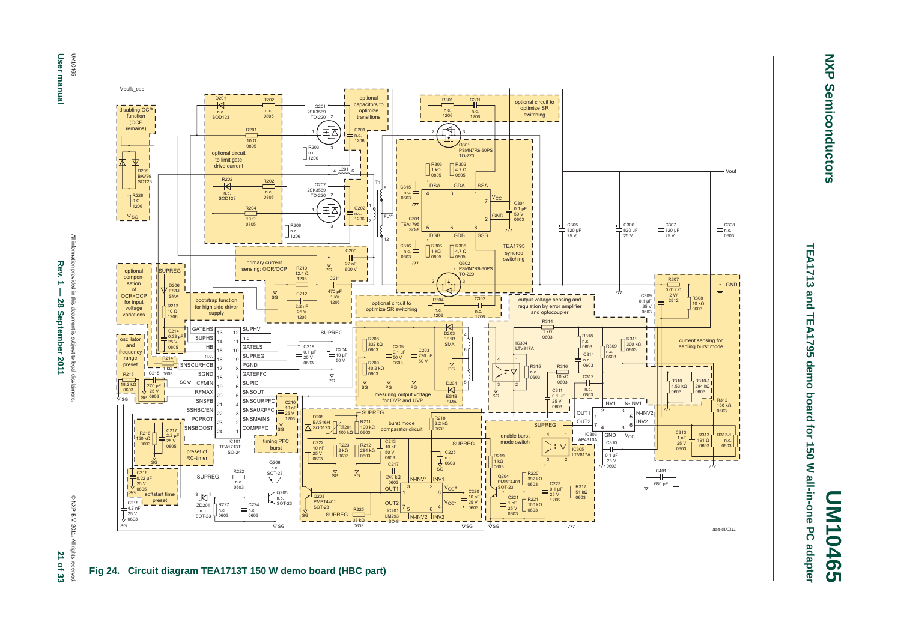User **User manual** manual

All information provided in this document is subject to legal disclaimers. Rev. **Rev. 1 — 28 September 2011 2013 21 of 33**  $\rightarrow$  $\mathbf{I}$ l E 28 September document is subject  $-2011$ egal disclaim

 $-201$  $\overline{z}$ of 33



**UM10465**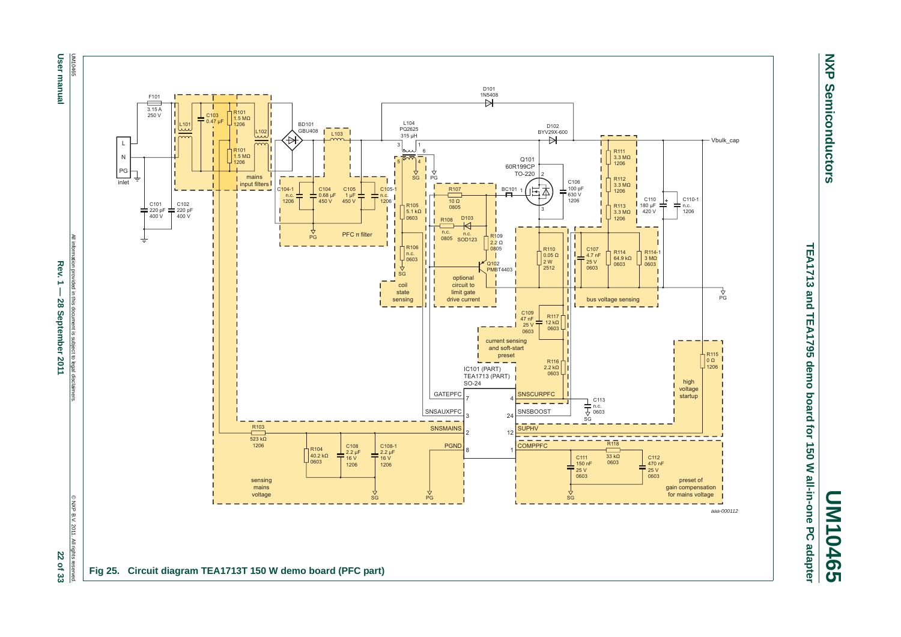

**User manual**

**User manual** 





# **NXP NXP Semiconductors** Semiconductors

**UM10465**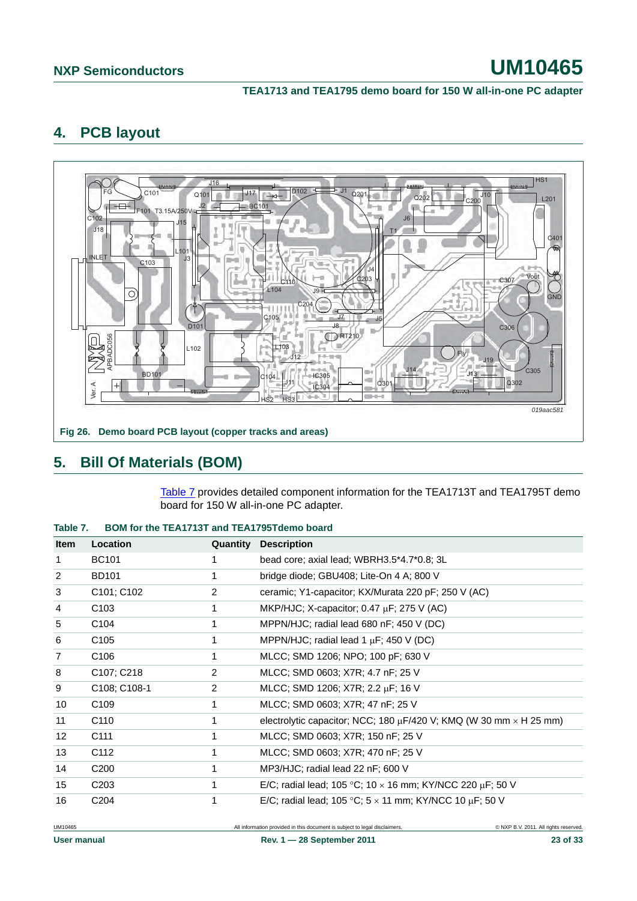#### **TEA1713 and TEA1795 demo board for 150 W all-in-one PC adapter**

#### <span id="page-22-1"></span>**4. PCB layout**



#### <span id="page-22-2"></span>**5. Bill Of Materials (BOM)**

[Table](#page-22-0) 7 provides detailed component information for the TEA1713T and TEA1795T demo board for 150 W all-in-one PC adapter.

<span id="page-22-0"></span>

| <b>Item</b>    | Location                            | Quantity | <b>Description</b>                                                             |
|----------------|-------------------------------------|----------|--------------------------------------------------------------------------------|
| 1              | <b>BC101</b>                        | 1        | bead core; axial lead; WBRH3.5*4.7*0.8; 3L                                     |
| $\overline{2}$ | <b>BD101</b>                        | 1        | bridge diode; GBU408; Lite-On 4 A; 800 V                                       |
| 3              | C101; C102                          | 2        | ceramic; Y1-capacitor; KX/Murata 220 pF; 250 V (AC)                            |
| 4              | C <sub>103</sub>                    | 1        | MKP/HJC; X-capacitor; 0.47 µF; 275 V (AC)                                      |
| 5              | C <sub>104</sub>                    | 1        | MPPN/HJC; radial lead 680 nF; 450 V (DC)                                       |
| 6              | C <sub>105</sub>                    | 1        | MPPN/HJC; radial lead 1 $\mu$ F; 450 V (DC)                                    |
| $\overline{7}$ | C106                                | 1        | MLCC; SMD 1206; NPO; 100 pF; 630 V                                             |
| 8              | C <sub>107</sub> ; C <sub>218</sub> | 2        | MLCC; SMD 0603; X7R; 4.7 nF; 25 V                                              |
| 9              | C108; C108-1                        | 2        | MLCC; SMD 1206; X7R; 2.2 µF; 16 V                                              |
| 10             | C <sub>109</sub>                    | 1        | MLCC; SMD 0603; X7R; 47 nF; 25 V                                               |
| 11             | C <sub>110</sub>                    | 1        | electrolytic capacitor; NCC; 180 $\mu$ F/420 V; KMQ (W 30 mm $\times$ H 25 mm) |
| 12             | C <sub>111</sub>                    | 1        | MLCC; SMD 0603; X7R; 150 nF; 25 V                                              |
| 13             | C112                                | 1        | MLCC; SMD 0603; X7R; 470 nF; 25 V                                              |
| 14             | C <sub>200</sub>                    | 1        | MP3/HJC; radial lead 22 nF; 600 V                                              |
| 15             | C <sub>203</sub>                    | 1        | E/C; radial lead; 105 °C; 10 $\times$ 16 mm; KY/NCC 220 µF; 50 V               |
| 16             | C <sub>204</sub>                    | 1        | E/C; radial lead; 105 °C; $5 \times 11$ mm; KY/NCC 10 $\mu$ F; 50 V            |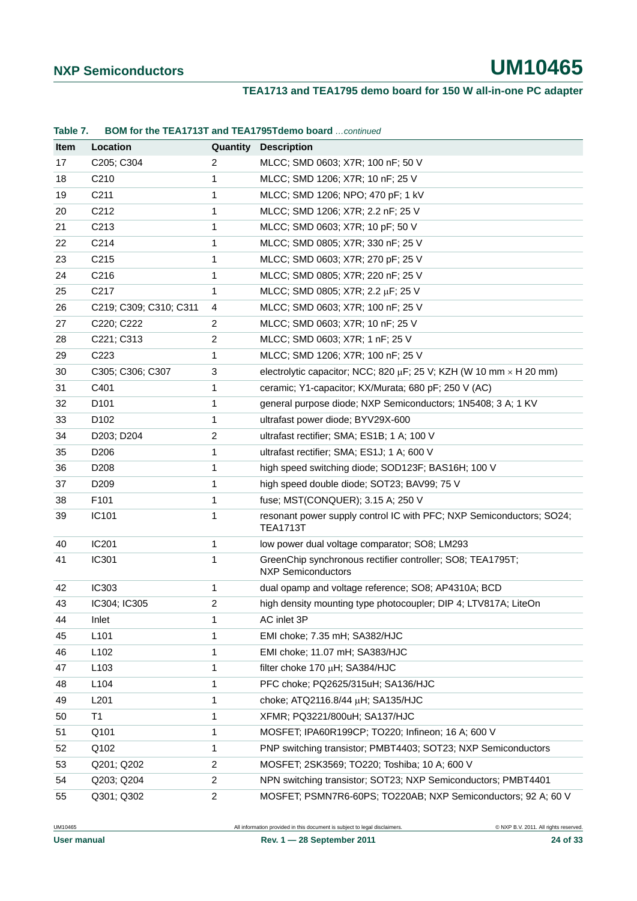#### **TEA1713 and TEA1795 demo board for 150 W all-in-one PC adapter**

#### **Table 7. BOM for the TEA1713T and TEA1795Tdemo board** *…continued*

| Item | Location               | Quantity       | <b>Description</b>                                                                      |
|------|------------------------|----------------|-----------------------------------------------------------------------------------------|
| 17   | C205; C304             | 2              | MLCC; SMD 0603; X7R; 100 nF; 50 V                                                       |
| 18   | C210                   | 1              | MLCC; SMD 1206; X7R; 10 nF; 25 V                                                        |
| 19   | C211                   | 1              | MLCC; SMD 1206; NPO; 470 pF; 1 kV                                                       |
| 20   | C <sub>2</sub> 12      | 1              | MLCC; SMD 1206; X7R; 2.2 nF; 25 V                                                       |
| 21   | C <sub>213</sub>       | 1              | MLCC; SMD 0603; X7R; 10 pF; 50 V                                                        |
| 22   | C214                   | 1              | MLCC; SMD 0805; X7R; 330 nF; 25 V                                                       |
| 23   | C <sub>215</sub>       | 1              | MLCC; SMD 0603; X7R; 270 pF; 25 V                                                       |
| 24   | C216                   | 1              | MLCC; SMD 0805; X7R; 220 nF; 25 V                                                       |
| 25   | C <sub>217</sub>       | 1              | MLCC; SMD 0805; X7R; 2.2 µF; 25 V                                                       |
| 26   | C219; C309; C310; C311 | 4              | MLCC; SMD 0603; X7R; 100 nF; 25 V                                                       |
| 27   | C220; C222             | $\overline{c}$ | MLCC; SMD 0603; X7R; 10 nF; 25 V                                                        |
| 28   | C221; C313             | 2              | MLCC; SMD 0603; X7R; 1 nF; 25 V                                                         |
| 29   | C <sub>223</sub>       | 1              | MLCC; SMD 1206; X7R; 100 nF; 25 V                                                       |
| 30   | C305; C306; C307       | 3              | electrolytic capacitor; NCC; 820 $\mu$ F; 25 V; KZH (W 10 mm $\times$ H 20 mm)          |
| 31   | C401                   | 1              | ceramic; Y1-capacitor; KX/Murata; 680 pF; 250 V (AC)                                    |
| 32   | D <sub>101</sub>       | 1              | general purpose diode; NXP Semiconductors; 1N5408; 3 A; 1 KV                            |
| 33   | D <sub>102</sub>       | 1              | ultrafast power diode; BYV29X-600                                                       |
| 34   | D203; D204             | $\overline{c}$ | ultrafast rectifier; SMA; ES1B; 1 A; 100 V                                              |
| 35   | D206                   | 1              | ultrafast rectifier; SMA; ES1J; 1 A; 600 V                                              |
| 36   | D <sub>208</sub>       | 1              | high speed switching diode; SOD123F; BAS16H; 100 V                                      |
| 37   | D <sub>209</sub>       | 1              | high speed double diode; SOT23; BAV99; 75 V                                             |
| 38   | F <sub>101</sub>       | 1              | fuse; MST(CONQUER); 3.15 A; 250 V                                                       |
| 39   | IC101                  | 1              | resonant power supply control IC with PFC; NXP Semiconductors; SO24;<br><b>TEA1713T</b> |
| 40   | IC201                  | 1              | low power dual voltage comparator; SO8; LM293                                           |
| 41   | IC301                  | 1              | GreenChip synchronous rectifier controller; SO8; TEA1795T;<br><b>NXP Semiconductors</b> |
| 42   | <b>IC303</b>           | 1              | dual opamp and voltage reference; SO8; AP4310A; BCD                                     |
| 43   | IC304; IC305           | $\overline{c}$ | high density mounting type photocoupler; DIP 4; LTV817A; LiteOn                         |
| 44   | Inlet                  | 1              | AC inlet 3P                                                                             |
| 45   | L <sub>101</sub>       | 1              | EMI choke; 7.35 mH; SA382/HJC                                                           |
| 46   | L102                   | 1              | EMI choke; 11.07 mH; SA383/HJC                                                          |
| 47   | L103                   | 1              | filter choke 170 $\mu$ H; SA384/HJC                                                     |
| 48   | L104                   | 1              | PFC choke; PQ2625/315uH; SA136/HJC                                                      |
| 49   | L201                   | 1              | choke; ATQ2116.8/44 µH; SA135/HJC                                                       |
| 50   | T1                     | 1              | XFMR; PQ3221/800uH; SA137/HJC                                                           |
| 51   | Q101                   | 1              | MOSFET; IPA60R199CP; TO220; Infineon; 16 A; 600 V                                       |
| 52   | Q102                   | 1              | PNP switching transistor; PMBT4403; SOT23; NXP Semiconductors                           |
| 53   | Q201; Q202             | $\overline{c}$ | MOSFET; 2SK3569; TO220; Toshiba; 10 A; 600 V                                            |
| 54   | Q203; Q204             | $\overline{c}$ | NPN switching transistor; SOT23; NXP Semiconductors; PMBT4401                           |
| 55   | Q301; Q302             | $\overline{c}$ | MOSFET; PSMN7R6-60PS; TO220AB; NXP Semiconductors; 92 A; 60 V                           |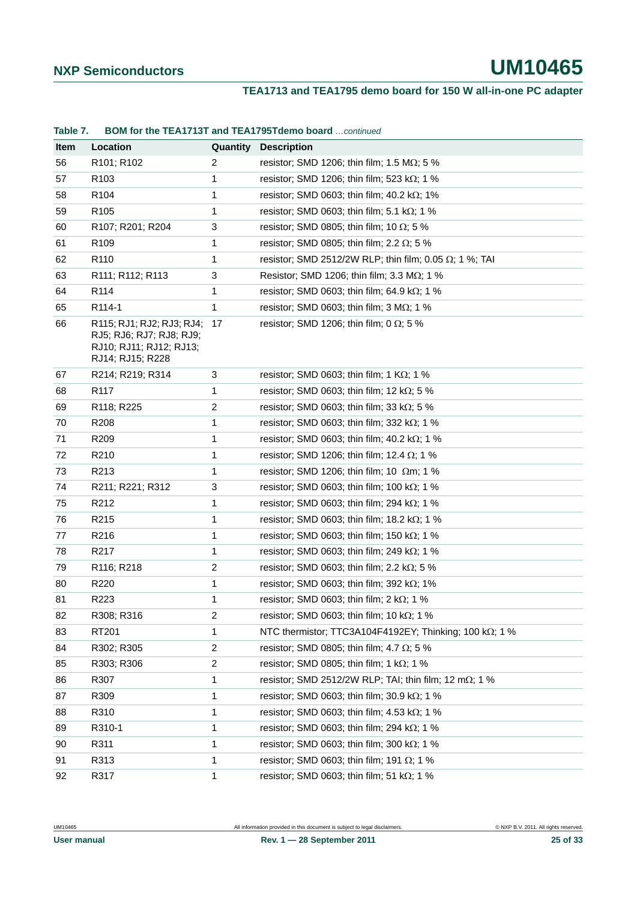#### **TEA1713 and TEA1795 demo board for 150 W all-in-one PC adapter**

#### 56 R101: R102 2 resistor: SMD 1206; thin film: 1.5 MQ: 5 % 57 R103 1 resistor; SMD 1206; thin film; 523 k $\Omega$ ; 1 % 58 R104 1 resistor: SMD 0603; thin film:  $40.2 \text{ k}\Omega$ ; 1% 59 R105 1 resistor: SMD 0603; thin film: 5.1 kQ: 1 % 60 R107; R201; R204 3 resistor; SMD 0805; thin film; 10  $\Omega$ ; 5 % 61 R109 1 resistor: SMD 0805: thin film:  $2.2 \Omega$ : 5 % 62 R110 1 resistor: SMD 2512/2W RLP; thin film; 0.05  $\Omega$ ; 1 %; TAI 63 R111; R112; R113 3 Resistor; SMD 1206; thin film; 3.3 M $\Omega$ ; 1 % 64 R114 1 resistor: SMD 0603; thin film: 64.9 k $\Omega$ : 1 % 65 R114-1 1 1 resistor; SMD 0603; thin film;  $3 M\Omega$ ; 1 % 66 R115; RJ1; RJ2; RJ3; RJ4; RJ5; RJ6; RJ7; RJ8; RJ9; RJ10; RJ11; RJ12; RJ13; RJ14; RJ15; R228 17 resistor: SMD 1206: thin film:  $0 \Omega$ : 5 % 67 R214: R219: R314 3 resistor: SMD 0603: thin film: 1 K $\Omega$ : 1 % 68 R117 1 resistor: SMD 0603: thin film: 12 k $\Omega$ : 5 % 69 R118: R225 2 resistor: SMD 0603: thin film: 33 k $\Omega$ : 5 % 70 R208 1 resistor; SMD 0603; thin film;  $332 \text{ k}\Omega$ ; 1 % 71 R209 1 resistor: SMD 0603; thin film:  $40.2 \text{ k}\Omega$ ; 1 % 72 R210 1 resistor; SMD 1206; thin film; 12.4  $\Omega$ ; 1 % 73 R213 1 resistor; SMD 1206; thin film; 10  $\Omega$ m; 1 % 74 R211: R221: R312 3 resistor: SMD 0603: thin film: 100 k $\Omega$ : 1 % 75 R212 1 resistor; SMD 0603; thin film; 294 k $\Omega$ ; 1 % 76 R215 1 resistor; SMD 0603; thin film; 18.2 k $\Omega$ ; 1 % 77 R216 1 resistor; SMD 0603; thin film; 150 k $\Omega$ ; 1 % 78 R217 1 resistor; SMD 0603; thin film; 249 k $\Omega$ ; 1 % 79 R116; R218 2 resistor; SMD 0603; thin film; 2.2 kΩ; 5 % 80 R220 1 resistor; SMD 0603; thin film; 392 k $\Omega$ ; 1% 81 R223 1 resistor; SMD 0603; thin film; 2 k $\Omega$ ; 1 % 82 R308; R316 2 resistor; SMD 0603; thin film; 10 k $\Omega$ ; 1 % 83 RT201 1 NTC thermistor; TTC3A104F4192EY; Thinking; 100 k $\Omega$ ; 1 % 84 R302; R305 2 resistor; SMD 0805; thin film; 4.7 Ω; 5 % 85 R303: R306 2 resistor: SMD 0805: thin film: 1 kΩ: 1 % 86 R307 1 resistor; SMD 2512/2W RLP; TAI; thin film; 12 mΩ; 1 % 87 R309 1 resistor; SMD 0603; thin film; 30.9 k $\Omega$ ; 1 % 88 R310 1 resistor: SMD 0603; thin film: 4.53 k $\Omega$ : 1 % 89 R310-1 1 resistor; SMD 0603; thin film; 294 k $\Omega$ ; 1 % 90 R311 1 resistor; SMD 0603; thin film; 300 k $\Omega$ ; 1 % 91 R313 1 **1** resistor; SMD 0603; thin film; 191  $\Omega$ ; 1 % 92 R317 1 resistor; SMD 0603; thin film; 51 k $\Omega$ ; 1 % **Table 7. BOM for the TEA1713T and TEA1795Tdemo board** *…continued* **Item Location Quantity Description**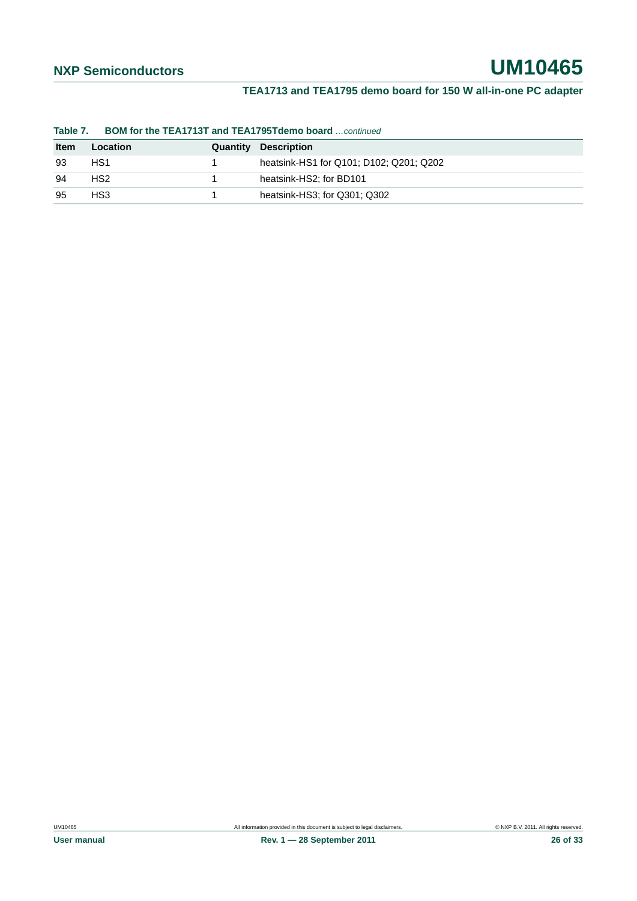|             | <b>BOM for the TEA1713T and TEA1795Tdemo board</b> continued<br>Table 7. |          |                                         |  |  |  |
|-------------|--------------------------------------------------------------------------|----------|-----------------------------------------|--|--|--|
| <b>Item</b> | Location                                                                 | Quantity | <b>Description</b>                      |  |  |  |
| 93          | HS <sub>1</sub>                                                          |          | heatsink-HS1 for Q101; D102; Q201; Q202 |  |  |  |
| -94         | HS <sub>2</sub>                                                          |          | heatsink-HS2: for BD101                 |  |  |  |
| 95          | HS3                                                                      |          | heatsink-HS3; for Q301; Q302            |  |  |  |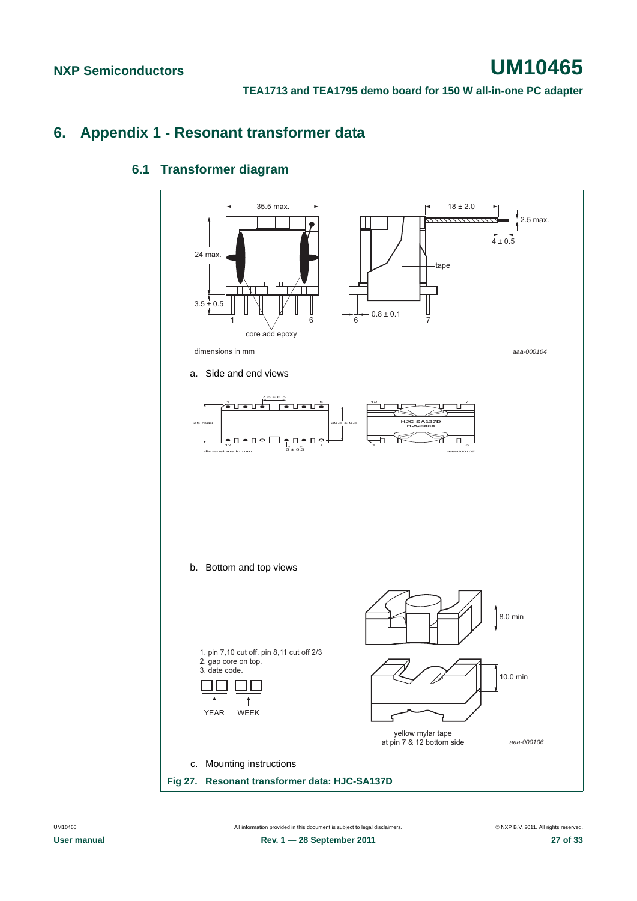**TEA1713 and TEA1795 demo board for 150 W all-in-one PC adapter**

#### <span id="page-26-1"></span><span id="page-26-0"></span>**6. Appendix 1 - Resonant transformer data**

#### 35.5 max.  $\longrightarrow$ 2.5 max.  $4 \pm 0.5$ 24 max. tape  $3.5 + 0.5$  $0.8 \pm 0.1$ 1  $\setminus$  6 6 7 core add epoxy dimensions in mm *aaa-000104* a. Side and end views  $\frac{7.6 \pm 0.5}{1}$  6  $12$   $\frac{1}{2}$   $\frac{1}{2}$   $\frac{1}{2}$   $\frac{1}{2}$   $\frac{1}{2}$   $\frac{1}{2}$   $\frac{1}{2}$   $\frac{1}{2}$   $\frac{1}{2}$   $\frac{1}{2}$   $\frac{1}{2}$   $\frac{1}{2}$   $\frac{1}{2}$   $\frac{1}{2}$   $\frac{1}{2}$   $\frac{1}{2}$   $\frac{1}{2}$   $\frac{1}{2}$   $\frac{1}{2}$   $\frac{1}{2}$   $\frac{1}{2}$   $\frac{1}{$ **HJC-SA137D** 36 max 36 max 36 max 30.5 ± 0.5 **HJC-SA13**  $\frac{\bullet}{12}$  10 10  $\frac{\bullet}{12}$  10  $\frac{\bullet}{7}$  $\frac{1}{1}$   $\frac{1}{1}$   $\frac{1}{1}$   $\frac{1}{1}$   $\frac{1}{1}$   $\frac{1}{1}$   $\frac{1}{1}$   $\frac{1}{1}$   $\frac{1}{1}$   $\frac{1}{1}$   $\frac{1}{1}$  $\frac{1}{5 \pm 0.3}$  dimensions in mm *aaa-000105* b. Bottom and top views 8.0 min 1. pin 7,10 cut off. pin 8,11 cut off 2/3 2. gap core on top. 3. date code. 10.0 min  $\overline{1}$  $\ddagger$  $\ddagger$ YEAR WEEK yellow mylar tape at pin 7 & 12 bottom side *aaa-000106*c. Mounting instructions **Fig 27. Resonant transformer data: HJC-SA137D**

#### **6.1 Transformer diagram**

UM10465 All information provided in this document is subject to legal disclaimers. © NXP B.V. 2011. All rights reserved.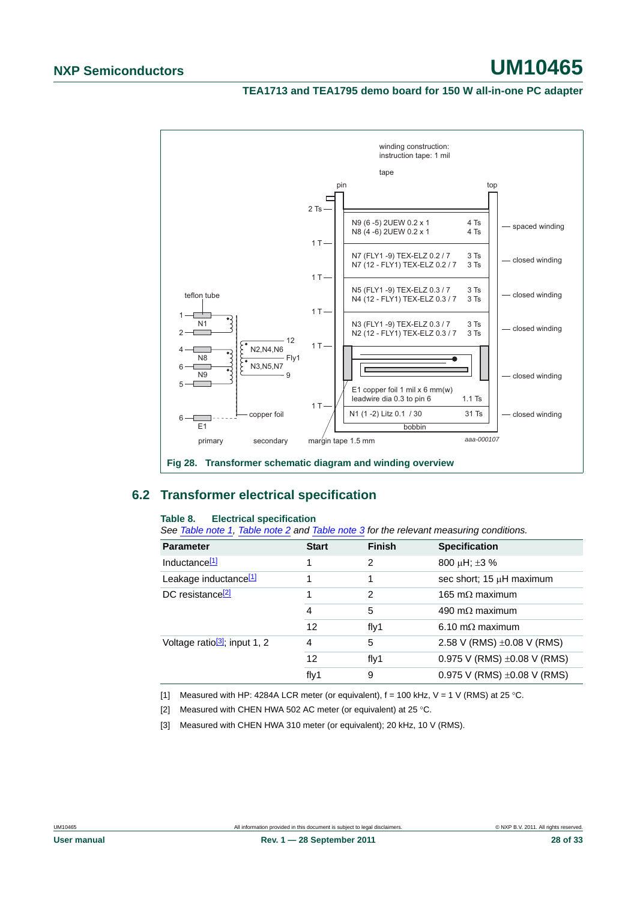#### **TEA1713 and TEA1795 demo board for 150 W all-in-one PC adapter**



#### <span id="page-27-3"></span>**6.2 Transformer electrical specification**

#### **Table 8. Electrical specification**

*See [Table note](#page-27-0) 1, [Table note](#page-27-2) 2 and [Table note](#page-27-1) 3 for the relevant measuring conditions.*

| <b>Parameter</b>                          | <b>Start</b> | <b>Finish</b> | <b>Specification</b>             |
|-------------------------------------------|--------------|---------------|----------------------------------|
| Inductance <sup>[1]</sup>                 | 1            | 2             | 800 µH; $\pm 3$ %                |
| Leakage inductance <sup>[1]</sup>         | 1            |               | sec short; $15 \mu H$ maximum    |
| DC resistance <sup>[2]</sup>              |              | 2             | 165 m $\Omega$ maximum           |
|                                           | 4            | 5             | 490 m $\Omega$ maximum           |
|                                           | 12           | fly1          | 6.10 m $\Omega$ maximum          |
| Voltage ratio <sup>[3]</sup> ; input 1, 2 | 4            | 5             | 2.58 V (RMS) $\pm$ 0.08 V (RMS)  |
|                                           | 12           | fly1          | 0.975 V (RMS) $\pm$ 0.08 V (RMS) |
|                                           | fly1         | 9             | 0.975 V (RMS) $\pm$ 0.08 V (RMS) |

<span id="page-27-0"></span>[1] Measured with HP: 4284A LCR meter (or equivalent),  $f = 100$  kHz,  $V = 1$  V (RMS) at 25 °C.

<span id="page-27-2"></span>[2] Measured with CHEN HWA 502 AC meter (or equivalent) at 25 °C.

<span id="page-27-1"></span>[3] Measured with CHEN HWA 310 meter (or equivalent): 20 kHz, 10 V (RMS).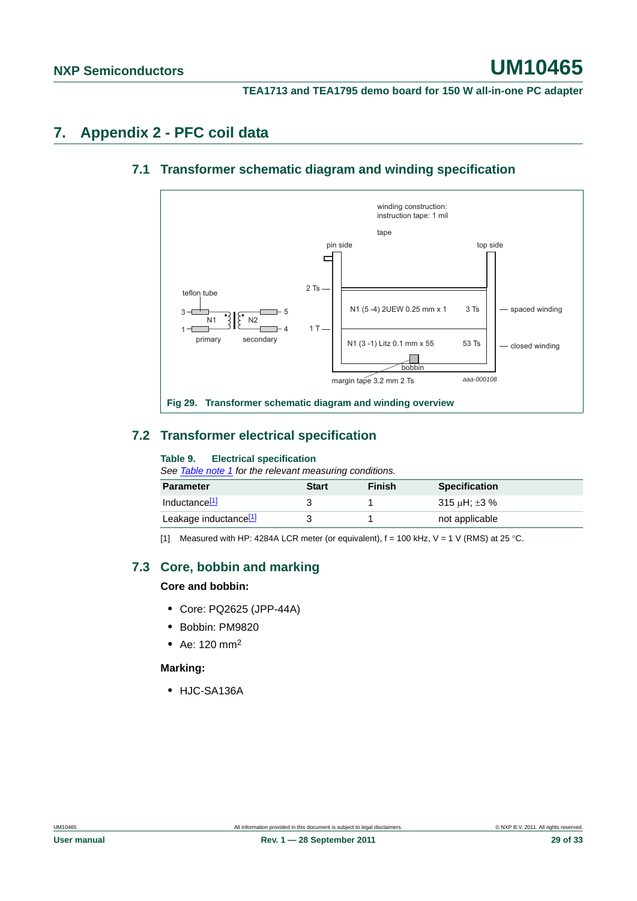#### <span id="page-28-1"></span><span id="page-28-0"></span>**7. Appendix 2 - PFC coil data**

#### **7.1 Transformer schematic diagram and winding specification**



#### <span id="page-28-2"></span>**7.2 Transformer electrical specification**

#### **Table 9. Electrical specification**

*See [Table note](#page-27-0) 1 for the relevant measuring conditions.*

| Parameter                 | Start | Finish | <b>Specification</b> |
|---------------------------|-------|--------|----------------------|
| Inductance <sup>[1]</sup> |       |        | 315 uH: ±3 %         |
| Leakage inductance[1]     |       |        | not applicable       |

[1] Measured with HP: 4284A LCR meter (or equivalent),  $f = 100$  kHz,  $V = 1$  V (RMS) at 25 °C.

#### <span id="page-28-3"></span>**7.3 Core, bobbin and marking**

#### **Core and bobbin:**

- **•** Core: PQ2625 (JPP-44A)
- **•** Bobbin: PM9820
- **•** Ae: 120 mm<sup>2</sup>

#### **Marking:**

**•** HJC-SA136A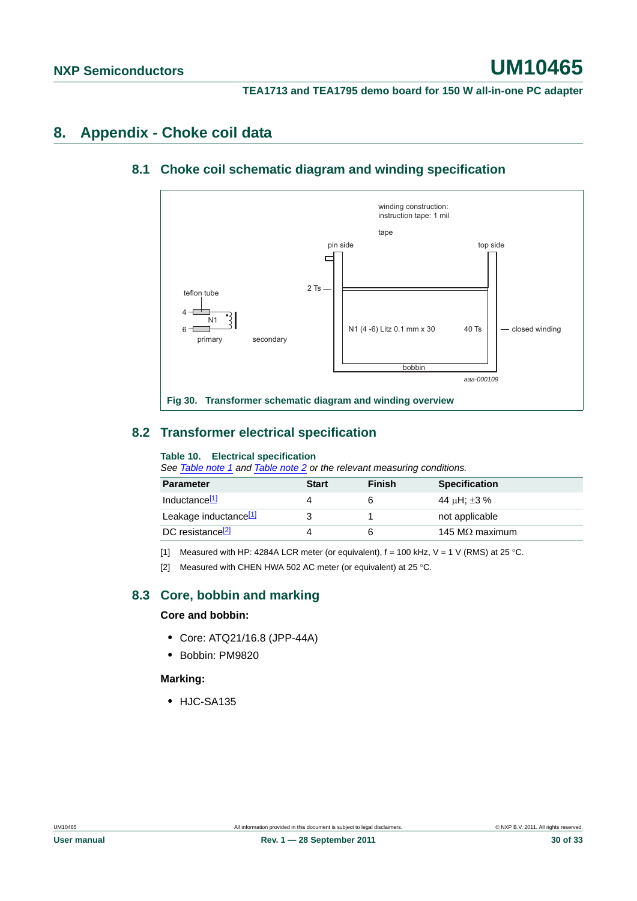#### <span id="page-29-1"></span><span id="page-29-0"></span>**8. Appendix - Choke coil data**

#### **8.1 Choke coil schematic diagram and winding specification**



#### <span id="page-29-2"></span>**8.2 Transformer electrical specification**

#### **Table 10. Electrical specification**

*See [Table note](#page-27-0) 1 and [Table note](#page-27-2) 2 or the relevant measuring conditions.*

| <b>Parameter</b>                  | <b>Start</b> | <b>Finish</b> | <b>Specification</b>   |
|-----------------------------------|--------------|---------------|------------------------|
| Inductance <sup>[1]</sup>         | 4            |               | 44 uH; ±3 %            |
| Leakage inductance <sup>[1]</sup> |              |               | not applicable         |
| DC resistance <sup>[2]</sup>      | 4            |               | 145 M $\Omega$ maximum |

[1] Measured with HP: 4284A LCR meter (or equivalent),  $f = 100$  kHz,  $V = 1$  V (RMS) at 25 °C.

[2] Measured with CHEN HWA 502 AC meter (or equivalent) at 25 °C.

#### <span id="page-29-3"></span>**8.3 Core, bobbin and marking**

#### **Core and bobbin:**

- **•** Core: ATQ21/16.8 (JPP-44A)
- **•** Bobbin: PM9820

#### **Marking:**

**•** HJC-SA135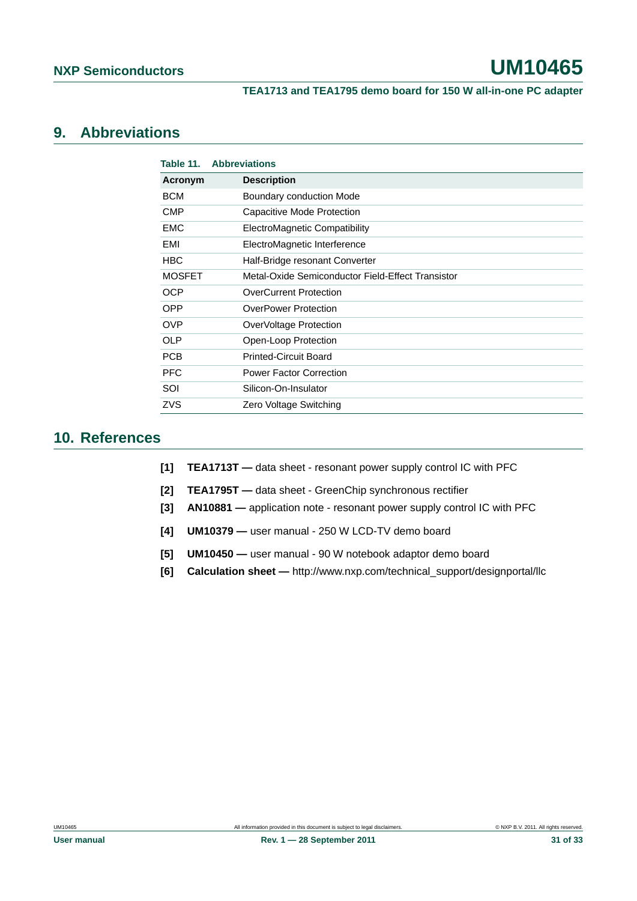#### <span id="page-30-0"></span>**9. Abbreviations**

| <b>Abbreviations</b>                              |
|---------------------------------------------------|
| <b>Description</b>                                |
| Boundary conduction Mode                          |
| Capacitive Mode Protection                        |
| ElectroMagnetic Compatibility                     |
| ElectroMagnetic Interference                      |
| Half-Bridge resonant Converter                    |
| Metal-Oxide Semiconductor Field-Effect Transistor |
| <b>OverCurrent Protection</b>                     |
| <b>OverPower Protection</b>                       |
| OverVoltage Protection                            |
| Open-Loop Protection                              |
| <b>Printed-Circuit Board</b>                      |
| <b>Power Factor Correction</b>                    |
| Silicon-On-Insulator                              |
| Zero Voltage Switching                            |
|                                                   |

#### <span id="page-30-1"></span>**10. References**

- **[1] TEA1713T** data sheet resonant power supply control IC with PFC
- **[2] TEA1795T** data sheet GreenChip synchronous rectifier
- **[3] AN10881** application note resonant power supply control IC with PFC
- **[4] UM10379** user manual 250 W LCD-TV demo board
- **[5] UM10450** user manual 90 W notebook adaptor demo board
- **[6] Calculation sheet** http://www.nxp.com/technical\_support/designportal/llc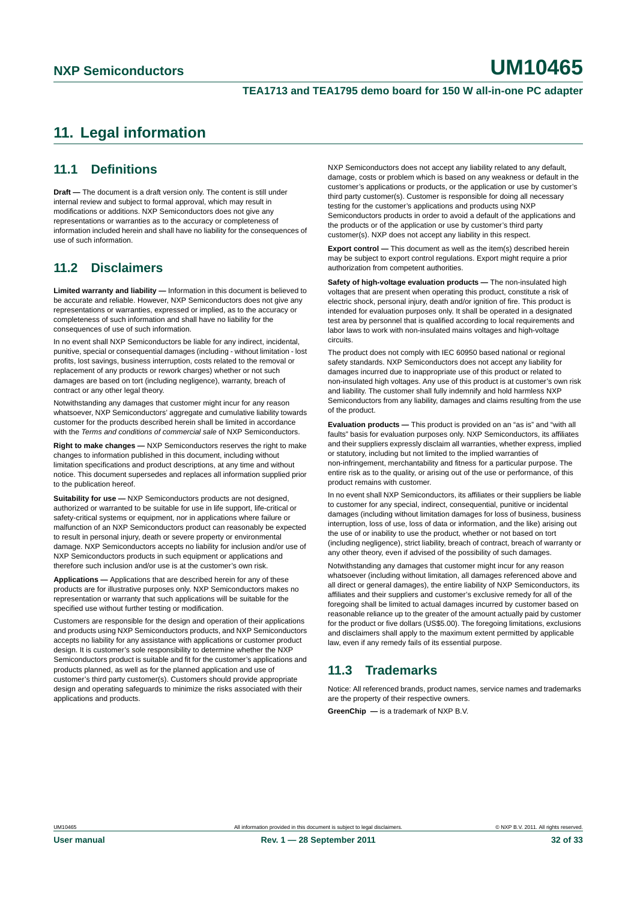#### <span id="page-31-0"></span>**11. Legal information**

#### <span id="page-31-1"></span>**11.1 Definitions**

**Draft —** The document is a draft version only. The content is still under internal review and subject to formal approval, which may result in modifications or additions. NXP Semiconductors does not give any representations or warranties as to the accuracy or completeness of information included herein and shall have no liability for the consequences of use of such information.

#### <span id="page-31-2"></span>**11.2 Disclaimers**

**Limited warranty and liability —** Information in this document is believed to be accurate and reliable. However, NXP Semiconductors does not give any representations or warranties, expressed or implied, as to the accuracy or completeness of such information and shall have no liability for the consequences of use of such information.

In no event shall NXP Semiconductors be liable for any indirect, incidental, punitive, special or consequential damages (including - without limitation - lost profits, lost savings, business interruption, costs related to the removal or replacement of any products or rework charges) whether or not such damages are based on tort (including negligence), warranty, breach of contract or any other legal theory.

Notwithstanding any damages that customer might incur for any reason whatsoever, NXP Semiconductors' aggregate and cumulative liability towards customer for the products described herein shall be limited in accordance with the *Terms and conditions of commercial sale* of NXP Semiconductors.

**Right to make changes —** NXP Semiconductors reserves the right to make changes to information published in this document, including without limitation specifications and product descriptions, at any time and without notice. This document supersedes and replaces all information supplied prior to the publication hereof.

**Suitability for use —** NXP Semiconductors products are not designed, authorized or warranted to be suitable for use in life support, life-critical or safety-critical systems or equipment, nor in applications where failure or malfunction of an NXP Semiconductors product can reasonably be expected to result in personal injury, death or severe property or environmental damage. NXP Semiconductors accepts no liability for inclusion and/or use of NXP Semiconductors products in such equipment or applications and therefore such inclusion and/or use is at the customer's own risk.

**Applications —** Applications that are described herein for any of these products are for illustrative purposes only. NXP Semiconductors makes no representation or warranty that such applications will be suitable for the specified use without further testing or modification.

Customers are responsible for the design and operation of their applications and products using NXP Semiconductors products, and NXP Semiconductors accepts no liability for any assistance with applications or customer product design. It is customer's sole responsibility to determine whether the NXP Semiconductors product is suitable and fit for the customer's applications and products planned, as well as for the planned application and use of customer's third party customer(s). Customers should provide appropriate design and operating safeguards to minimize the risks associated with their applications and products.

NXP Semiconductors does not accept any liability related to any default, damage, costs or problem which is based on any weakness or default in the customer's applications or products, or the application or use by customer's third party customer(s). Customer is responsible for doing all necessary testing for the customer's applications and products using NXP Semiconductors products in order to avoid a default of the applications and the products or of the application or use by customer's third party customer(s). NXP does not accept any liability in this respect.

**Export control —** This document as well as the item(s) described herein may be subject to export control regulations. Export might require a prior authorization from competent authorities.

**Safety of high-voltage evaluation products —** The non-insulated high voltages that are present when operating this product, constitute a risk of electric shock, personal injury, death and/or ignition of fire. This product is intended for evaluation purposes only. It shall be operated in a designated test area by personnel that is qualified according to local requirements and labor laws to work with non-insulated mains voltages and high-voltage circuits.

The product does not comply with IEC 60950 based national or regional safety standards. NXP Semiconductors does not accept any liability for damages incurred due to inappropriate use of this product or related to non-insulated high voltages. Any use of this product is at customer's own risk and liability. The customer shall fully indemnify and hold harmless NXP Semiconductors from any liability, damages and claims resulting from the use of the product.

**Evaluation products —** This product is provided on an "as is" and "with all faults" basis for evaluation purposes only. NXP Semiconductors, its affiliates and their suppliers expressly disclaim all warranties, whether express, implied or statutory, including but not limited to the implied warranties of non-infringement, merchantability and fitness for a particular purpose. The entire risk as to the quality, or arising out of the use or performance, of this product remains with customer.

In no event shall NXP Semiconductors, its affiliates or their suppliers be liable to customer for any special, indirect, consequential, punitive or incidental damages (including without limitation damages for loss of business, business interruption, loss of use, loss of data or information, and the like) arising out the use of or inability to use the product, whether or not based on tort (including negligence), strict liability, breach of contract, breach of warranty or any other theory, even if advised of the possibility of such damages.

Notwithstanding any damages that customer might incur for any reason whatsoever (including without limitation, all damages referenced above and all direct or general damages), the entire liability of NXP Semiconductors, its affiliates and their suppliers and customer's exclusive remedy for all of the foregoing shall be limited to actual damages incurred by customer based on reasonable reliance up to the greater of the amount actually paid by customer for the product or five dollars (US\$5.00). The foregoing limitations, exclusions and disclaimers shall apply to the maximum extent permitted by applicable law, even if any remedy fails of its essential purpose.

#### <span id="page-31-3"></span>**11.3 Trademarks**

Notice: All referenced brands, product names, service names and trademarks are the property of their respective owners.

**GreenChip —** is a trademark of NXP B.V.